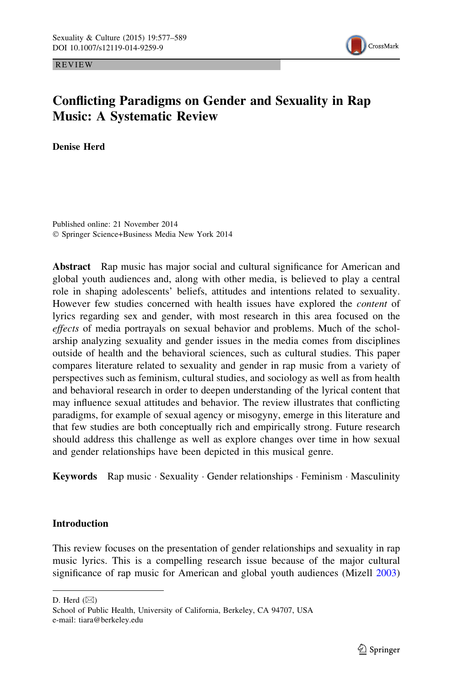REVIEW



# Conflicting Paradigms on Gender and Sexuality in Rap Music: A Systematic Review

Denise Herd

Published online: 21 November 2014 - Springer Science+Business Media New York 2014

Abstract Rap music has major social and cultural significance for American and global youth audiences and, along with other media, is believed to play a central role in shaping adolescents' beliefs, attitudes and intentions related to sexuality. However few studies concerned with health issues have explored the *content* of lyrics regarding sex and gender, with most research in this area focused on the *effects* of media portrayals on sexual behavior and problems. Much of the scholarship analyzing sexuality and gender issues in the media comes from disciplines outside of health and the behavioral sciences, such as cultural studies. This paper compares literature related to sexuality and gender in rap music from a variety of perspectives such as feminism, cultural studies, and sociology as well as from health and behavioral research in order to deepen understanding of the lyrical content that may influence sexual attitudes and behavior. The review illustrates that conflicting paradigms, for example of sexual agency or misogyny, emerge in this literature and that few studies are both conceptually rich and empirically strong. Future research should address this challenge as well as explore changes over time in how sexual and gender relationships have been depicted in this musical genre.

Keywords Rap music · Sexuality · Gender relationships · Feminism · Masculinity

# Introduction

This review focuses on the presentation of gender relationships and sexuality in rap music lyrics. This is a compelling research issue because of the major cultural significance of rap music for American and global youth audiences (Mizell [2003](#page-11-0))

D. Herd  $(\boxtimes)$ 

School of Public Health, University of California, Berkeley, CA 94707, USA e-mail: tiara@berkeley.edu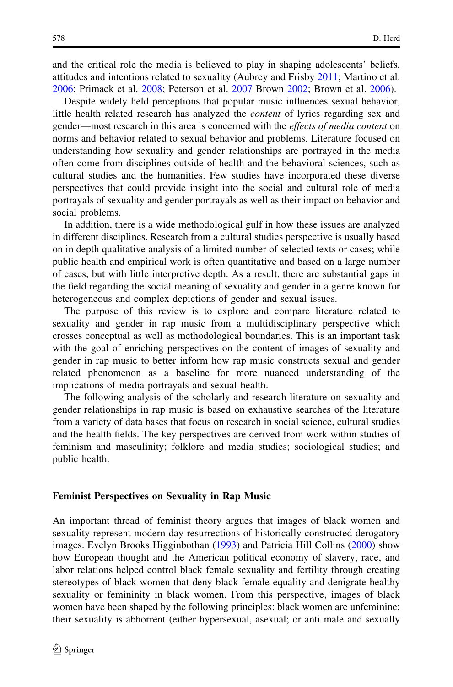and the critical role the media is believed to play in shaping adolescents' beliefs, attitudes and intentions related to sexuality (Aubrey and Frisby [2011](#page-10-0); Martino et al. [2006;](#page-11-0) Primack et al. [2008](#page-12-0); Peterson et al. [2007](#page-12-0) Brown [2002;](#page-10-0) Brown et al. [2006\)](#page-11-0).

Despite widely held perceptions that popular music influences sexual behavior, little health related research has analyzed the *content* of lyrics regarding sex and gender—most research in this area is concerned with the *effects of media content* on norms and behavior related to sexual behavior and problems. Literature focused on understanding how sexuality and gender relationships are portrayed in the media often come from disciplines outside of health and the behavioral sciences, such as cultural studies and the humanities. Few studies have incorporated these diverse perspectives that could provide insight into the social and cultural role of media portrayals of sexuality and gender portrayals as well as their impact on behavior and social problems.

In addition, there is a wide methodological gulf in how these issues are analyzed in different disciplines. Research from a cultural studies perspective is usually based on in depth qualitative analysis of a limited number of selected texts or cases; while public health and empirical work is often quantitative and based on a large number of cases, but with little interpretive depth. As a result, there are substantial gaps in the field regarding the social meaning of sexuality and gender in a genre known for heterogeneous and complex depictions of gender and sexual issues.

The purpose of this review is to explore and compare literature related to sexuality and gender in rap music from a multidisciplinary perspective which crosses conceptual as well as methodological boundaries. This is an important task with the goal of enriching perspectives on the content of images of sexuality and gender in rap music to better inform how rap music constructs sexual and gender related phenomenon as a baseline for more nuanced understanding of the implications of media portrayals and sexual health.

The following analysis of the scholarly and research literature on sexuality and gender relationships in rap music is based on exhaustive searches of the literature from a variety of data bases that focus on research in social science, cultural studies and the health fields. The key perspectives are derived from work within studies of feminism and masculinity; folklore and media studies; sociological studies; and public health.

#### Feminist Perspectives on Sexuality in Rap Music

An important thread of feminist theory argues that images of black women and sexuality represent modern day resurrections of historically constructed derogatory images. Evelyn Brooks Higginbothan ([1993\)](#page-11-0) and Patricia Hill Collins ([2000\)](#page-11-0) show how European thought and the American political economy of slavery, race, and labor relations helped control black female sexuality and fertility through creating stereotypes of black women that deny black female equality and denigrate healthy sexuality or femininity in black women. From this perspective, images of black women have been shaped by the following principles: black women are unfeminine; their sexuality is abhorrent (either hypersexual, asexual; or anti male and sexually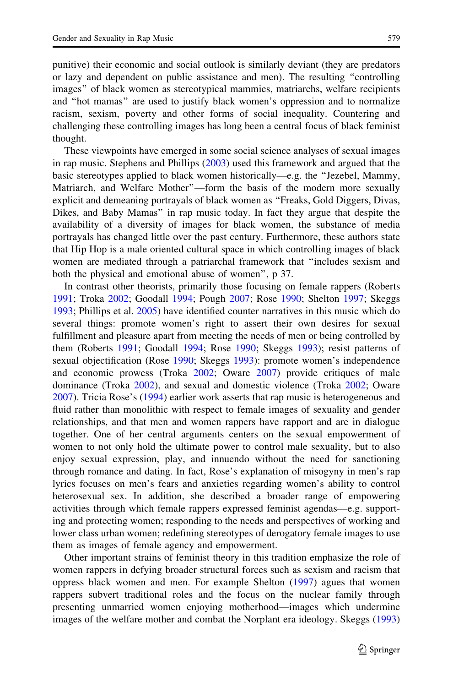punitive) their economic and social outlook is similarly deviant (they are predators or lazy and dependent on public assistance and men). The resulting ''controlling images'' of black women as stereotypical mammies, matriarchs, welfare recipients and ''hot mamas'' are used to justify black women's oppression and to normalize racism, sexism, poverty and other forms of social inequality. Countering and challenging these controlling images has long been a central focus of black feminist thought.

These viewpoints have emerged in some social science analyses of sexual images in rap music. Stephens and Phillips ([2003](#page-12-0)) used this framework and argued that the basic stereotypes applied to black women historically—e.g. the ''Jezebel, Mammy, Matriarch, and Welfare Mother''—form the basis of the modern more sexually explicit and demeaning portrayals of black women as ''Freaks, Gold Diggers, Divas, Dikes, and Baby Mamas'' in rap music today. In fact they argue that despite the availability of a diversity of images for black women, the substance of media portrayals has changed little over the past century. Furthermore, these authors state that Hip Hop is a male oriented cultural space in which controlling images of black women are mediated through a patriarchal framework that ''includes sexism and both the physical and emotional abuse of women'', p 37.

In contrast other theorists, primarily those focusing on female rappers (Roberts [1991;](#page-12-0) Troka [2002;](#page-12-0) Goodall [1994](#page-11-0); Pough [2007;](#page-12-0) Rose [1990;](#page-12-0) Shelton [1997](#page-12-0); Skeggs [1993;](#page-12-0) Phillips et al. [2005\)](#page-12-0) have identified counter narratives in this music which do several things: promote women's right to assert their own desires for sexual fulfillment and pleasure apart from meeting the needs of men or being controlled by them (Roberts [1991;](#page-12-0) Goodall [1994](#page-11-0); Rose [1990](#page-12-0); Skeggs [1993](#page-12-0)); resist patterns of sexual objectification (Rose [1990;](#page-12-0) Skeggs [1993\)](#page-12-0): promote women's independence and economic prowess (Troka [2002;](#page-12-0) Oware [2007\)](#page-12-0) provide critiques of male dominance (Troka [2002](#page-12-0)), and sexual and domestic violence (Troka [2002](#page-12-0); Oware [2007\)](#page-12-0). Tricia Rose's ([1994\)](#page-12-0) earlier work asserts that rap music is heterogeneous and fluid rather than monolithic with respect to female images of sexuality and gender relationships, and that men and women rappers have rapport and are in dialogue together. One of her central arguments centers on the sexual empowerment of women to not only hold the ultimate power to control male sexuality, but to also enjoy sexual expression, play, and innuendo without the need for sanctioning through romance and dating. In fact, Rose's explanation of misogyny in men's rap lyrics focuses on men's fears and anxieties regarding women's ability to control heterosexual sex. In addition, she described a broader range of empowering activities through which female rappers expressed feminist agendas—e.g. supporting and protecting women; responding to the needs and perspectives of working and lower class urban women; redefining stereotypes of derogatory female images to use them as images of female agency and empowerment.

Other important strains of feminist theory in this tradition emphasize the role of women rappers in defying broader structural forces such as sexism and racism that oppress black women and men. For example Shelton [\(1997](#page-12-0)) agues that women rappers subvert traditional roles and the focus on the nuclear family through presenting unmarried women enjoying motherhood—images which undermine images of the welfare mother and combat the Norplant era ideology. Skeggs [\(1993](#page-12-0))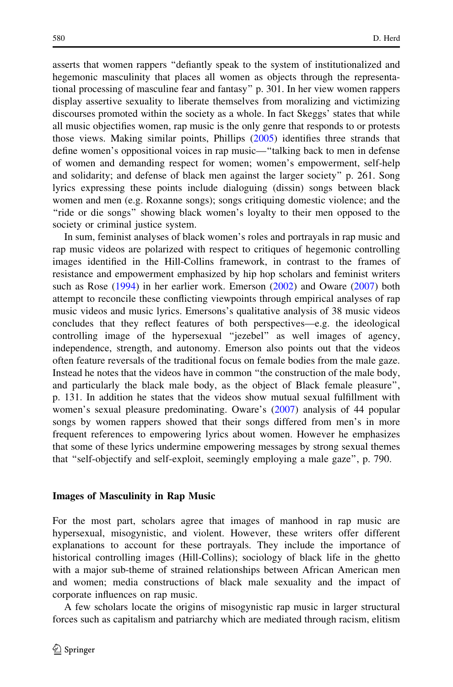asserts that women rappers ''defiantly speak to the system of institutionalized and hegemonic masculinity that places all women as objects through the representational processing of masculine fear and fantasy'' p. 301. In her view women rappers display assertive sexuality to liberate themselves from moralizing and victimizing discourses promoted within the society as a whole. In fact Skeggs' states that while all music objectifies women, rap music is the only genre that responds to or protests those views. Making similar points, Phillips [\(2005](#page-12-0)) identifies three strands that define women's oppositional voices in rap music—''talking back to men in defense of women and demanding respect for women; women's empowerment, self-help and solidarity; and defense of black men against the larger society'' p. 261. Song lyrics expressing these points include dialoguing (dissin) songs between black women and men (e.g. Roxanne songs); songs critiquing domestic violence; and the ''ride or die songs'' showing black women's loyalty to their men opposed to the society or criminal justice system.

In sum, feminist analyses of black women's roles and portrayals in rap music and rap music videos are polarized with respect to critiques of hegemonic controlling images identified in the Hill-Collins framework, in contrast to the frames of resistance and empowerment emphasized by hip hop scholars and feminist writers such as Rose ([1994\)](#page-12-0) in her earlier work. Emerson [\(2002\)](#page-11-0) and Oware ([2007\)](#page-12-0) both attempt to reconcile these conflicting viewpoints through empirical analyses of rap music videos and music lyrics. Emersons's qualitative analysis of 38 music videos concludes that they reflect features of both perspectives—e.g. the ideological controlling image of the hypersexual ''jezebel'' as well images of agency, independence, strength, and autonomy. Emerson also points out that the videos often feature reversals of the traditional focus on female bodies from the male gaze. Instead he notes that the videos have in common ''the construction of the male body, and particularly the black male body, as the object of Black female pleasure'', p. 131. In addition he states that the videos show mutual sexual fulfillment with women's sexual pleasure predominating. Oware's [\(2007](#page-12-0)) analysis of 44 popular songs by women rappers showed that their songs differed from men's in more frequent references to empowering lyrics about women. However he emphasizes that some of these lyrics undermine empowering messages by strong sexual themes that ''self-objectify and self-exploit, seemingly employing a male gaze'', p. 790.

#### Images of Masculinity in Rap Music

For the most part, scholars agree that images of manhood in rap music are hypersexual, misogynistic, and violent. However, these writers offer different explanations to account for these portrayals. They include the importance of historical controlling images (Hill-Collins); sociology of black life in the ghetto with a major sub-theme of strained relationships between African American men and women; media constructions of black male sexuality and the impact of corporate influences on rap music.

A few scholars locate the origins of misogynistic rap music in larger structural forces such as capitalism and patriarchy which are mediated through racism, elitism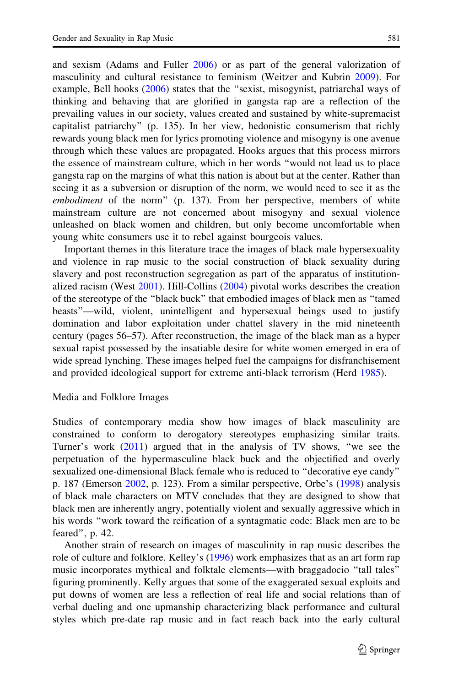and sexism (Adams and Fuller [2006](#page-10-0)) or as part of the general valorization of masculinity and cultural resistance to feminism (Weitzer and Kubrin [2009](#page-12-0)). For example, Bell hooks ([2006\)](#page-11-0) states that the ''sexist, misogynist, patriarchal ways of thinking and behaving that are glorified in gangsta rap are a reflection of the prevailing values in our society, values created and sustained by white-supremacist capitalist patriarchy'' (p. 135). In her view, hedonistic consumerism that richly rewards young black men for lyrics promoting violence and misogyny is one avenue through which these values are propagated. Hooks argues that this process mirrors the essence of mainstream culture, which in her words ''would not lead us to place gangsta rap on the margins of what this nation is about but at the center. Rather than seeing it as a subversion or disruption of the norm, we would need to see it as the *embodiment* of the norm'' (p. 137). From her perspective, members of white mainstream culture are not concerned about misogyny and sexual violence unleashed on black women and children, but only become uncomfortable when young white consumers use it to rebel against bourgeois values.

Important themes in this literature trace the images of black male hypersexuality and violence in rap music to the social construction of black sexuality during slavery and post reconstruction segregation as part of the apparatus of institutionalized racism (West [2001](#page-12-0)). Hill-Collins ([2004\)](#page-11-0) pivotal works describes the creation of the stereotype of the ''black buck'' that embodied images of black men as ''tamed beasts''—wild, violent, unintelligent and hypersexual beings used to justify domination and labor exploitation under chattel slavery in the mid nineteenth century (pages 56–57). After reconstruction, the image of the black man as a hyper sexual rapist possessed by the insatiable desire for white women emerged in era of wide spread lynching. These images helped fuel the campaigns for disfranchisement and provided ideological support for extreme anti-black terrorism (Herd [1985\)](#page-11-0).

## Media and Folklore Images

Studies of contemporary media show how images of black masculinity are constrained to conform to derogatory stereotypes emphasizing similar traits. Turner's work ([2011\)](#page-12-0) argued that in the analysis of TV shows, ''we see the perpetuation of the hypermasculine black buck and the objectified and overly sexualized one-dimensional Black female who is reduced to ''decorative eye candy'' p. 187 (Emerson [2002,](#page-11-0) p. 123). From a similar perspective, Orbe's ([1998\)](#page-11-0) analysis of black male characters on MTV concludes that they are designed to show that black men are inherently angry, potentially violent and sexually aggressive which in his words ''work toward the reification of a syntagmatic code: Black men are to be feared'', p. 42.

Another strain of research on images of masculinity in rap music describes the role of culture and folklore. Kelley's [\(1996](#page-11-0)) work emphasizes that as an art form rap music incorporates mythical and folktale elements—with braggadocio ''tall tales'' figuring prominently. Kelly argues that some of the exaggerated sexual exploits and put downs of women are less a reflection of real life and social relations than of verbal dueling and one upmanship characterizing black performance and cultural styles which pre-date rap music and in fact reach back into the early cultural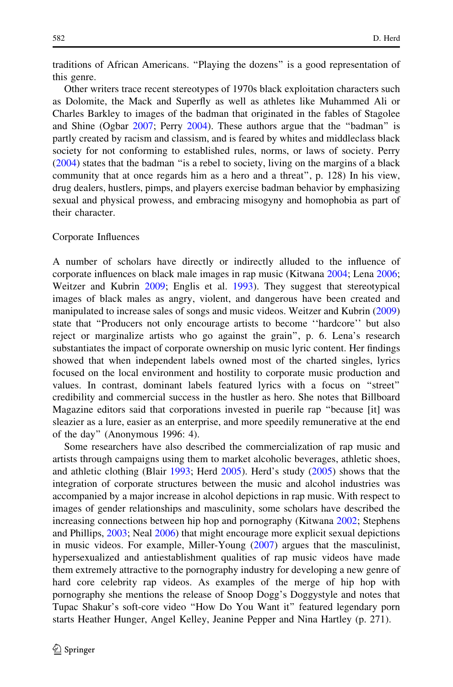traditions of African Americans. ''Playing the dozens'' is a good representation of this genre.

Other writers trace recent stereotypes of 1970s black exploitation characters such as Dolomite, the Mack and Superfly as well as athletes like Muhammed Ali or Charles Barkley to images of the badman that originated in the fables of Stagolee and Shine (Ogbar [2007;](#page-11-0) Perry [2004](#page-12-0)). These authors argue that the ''badman'' is partly created by racism and classism, and is feared by whites and middleclass black society for not conforming to established rules, norms, or laws of society. Perry [\(2004](#page-12-0)) states that the badman ''is a rebel to society, living on the margins of a black community that at once regards him as a hero and a threat'', p. 128) In his view, drug dealers, hustlers, pimps, and players exercise badman behavior by emphasizing sexual and physical prowess, and embracing misogyny and homophobia as part of their character.

#### Corporate Influences

A number of scholars have directly or indirectly alluded to the influence of corporate influences on black male images in rap music (Kitwana [2004](#page-11-0); Lena [2006;](#page-11-0) Weitzer and Kubrin [2009](#page-12-0); Englis et al. [1993\)](#page-11-0). They suggest that stereotypical images of black males as angry, violent, and dangerous have been created and manipulated to increase sales of songs and music videos. Weitzer and Kubrin [\(2009](#page-12-0)) state that ''Producers not only encourage artists to become ''hardcore'' but also reject or marginalize artists who go against the grain'', p. 6. Lena's research substantiates the impact of corporate ownership on music lyric content. Her findings showed that when independent labels owned most of the charted singles, lyrics focused on the local environment and hostility to corporate music production and values. In contrast, dominant labels featured lyrics with a focus on ''street'' credibility and commercial success in the hustler as hero. She notes that Billboard Magazine editors said that corporations invested in puerile rap ''because [it] was sleazier as a lure, easier as an enterprise, and more speedily remunerative at the end of the day'' (Anonymous 1996: 4).

Some researchers have also described the commercialization of rap music and artists through campaigns using them to market alcoholic beverages, athletic shoes, and athletic clothing (Blair [1993;](#page-10-0) Herd [2005](#page-11-0)). Herd's study ([2005\)](#page-11-0) shows that the integration of corporate structures between the music and alcohol industries was accompanied by a major increase in alcohol depictions in rap music. With respect to images of gender relationships and masculinity, some scholars have described the increasing connections between hip hop and pornography (Kitwana [2002;](#page-11-0) Stephens and Phillips, [2003;](#page-12-0) Neal [2006](#page-11-0)) that might encourage more explicit sexual depictions in music videos. For example, Miller-Young [\(2007](#page-11-0)) argues that the masculinist, hypersexualized and antiestablishment qualities of rap music videos have made them extremely attractive to the pornography industry for developing a new genre of hard core celebrity rap videos. As examples of the merge of hip hop with pornography she mentions the release of Snoop Dogg's Doggystyle and notes that Tupac Shakur's soft-core video ''How Do You Want it'' featured legendary porn starts Heather Hunger, Angel Kelley, Jeanine Pepper and Nina Hartley (p. 271).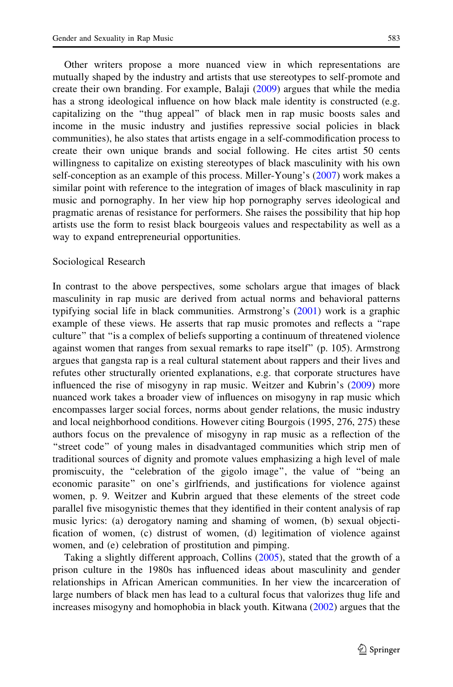Other writers propose a more nuanced view in which representations are mutually shaped by the industry and artists that use stereotypes to self-promote and create their own branding. For example, Balaji ([2009\)](#page-10-0) argues that while the media has a strong ideological influence on how black male identity is constructed (e.g. capitalizing on the ''thug appeal'' of black men in rap music boosts sales and income in the music industry and justifies repressive social policies in black communities), he also states that artists engage in a self-commodification process to create their own unique brands and social following. He cites artist 50 cents willingness to capitalize on existing stereotypes of black masculinity with his own self-conception as an example of this process. Miller-Young's ([2007\)](#page-11-0) work makes a similar point with reference to the integration of images of black masculinity in rap music and pornography. In her view hip hop pornography serves ideological and pragmatic arenas of resistance for performers. She raises the possibility that hip hop artists use the form to resist black bourgeois values and respectability as well as a way to expand entrepreneurial opportunities.

#### Sociological Research

In contrast to the above perspectives, some scholars argue that images of black masculinity in rap music are derived from actual norms and behavioral patterns typifying social life in black communities. Armstrong's [\(2001](#page-10-0)) work is a graphic example of these views. He asserts that rap music promotes and reflects a ''rape culture'' that ''is a complex of beliefs supporting a continuum of threatened violence against women that ranges from sexual remarks to rape itself'' (p. 105). Armstrong argues that gangsta rap is a real cultural statement about rappers and their lives and refutes other structurally oriented explanations, e.g. that corporate structures have influenced the rise of misogyny in rap music. Weitzer and Kubrin's ([2009\)](#page-12-0) more nuanced work takes a broader view of influences on misogyny in rap music which encompasses larger social forces, norms about gender relations, the music industry and local neighborhood conditions. However citing Bourgois (1995, 276, 275) these authors focus on the prevalence of misogyny in rap music as a reflection of the ''street code'' of young males in disadvantaged communities which strip men of traditional sources of dignity and promote values emphasizing a high level of male promiscuity, the ''celebration of the gigolo image'', the value of ''being an economic parasite'' on one's girlfriends, and justifications for violence against women, p. 9. Weitzer and Kubrin argued that these elements of the street code parallel five misogynistic themes that they identified in their content analysis of rap music lyrics: (a) derogatory naming and shaming of women, (b) sexual objectification of women, (c) distrust of women, (d) legitimation of violence against women, and (e) celebration of prostitution and pimping.

Taking a slightly different approach, Collins ([2005\)](#page-11-0), stated that the growth of a prison culture in the 1980s has influenced ideas about masculinity and gender relationships in African American communities. In her view the incarceration of large numbers of black men has lead to a cultural focus that valorizes thug life and increases misogyny and homophobia in black youth. Kitwana ([2002\)](#page-11-0) argues that the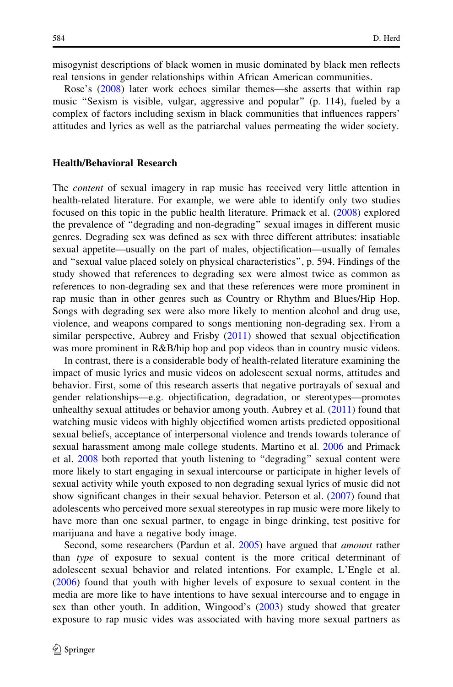misogynist descriptions of black women in music dominated by black men reflects real tensions in gender relationships within African American communities.

Rose's ([2008](#page-12-0)) later work echoes similar themes—she asserts that within rap music "Sexism is visible, vulgar, aggressive and popular" (p. 114), fueled by a complex of factors including sexism in black communities that influences rappers' attitudes and lyrics as well as the patriarchal values permeating the wider society.

## Health/Behavioral Research

The *content* of sexual imagery in rap music has received very little attention in health-related literature. For example, we were able to identify only two studies focused on this topic in the public health literature. Primack et al. ([2008\)](#page-12-0) explored the prevalence of ''degrading and non-degrading'' sexual images in different music genres. Degrading sex was defined as sex with three different attributes: insatiable sexual appetite—usually on the part of males, objectification—usually of females and ''sexual value placed solely on physical characteristics'', p. 594. Findings of the study showed that references to degrading sex were almost twice as common as references to non-degrading sex and that these references were more prominent in rap music than in other genres such as Country or Rhythm and Blues/Hip Hop. Songs with degrading sex were also more likely to mention alcohol and drug use, violence, and weapons compared to songs mentioning non-degrading sex. From a similar perspective, Aubrey and Frisby [\(2011](#page-10-0)) showed that sexual objectification was more prominent in R&B/hip hop and pop videos than in country music videos.

In contrast, there is a considerable body of health-related literature examining the impact of music lyrics and music videos on adolescent sexual norms, attitudes and behavior. First, some of this research asserts that negative portrayals of sexual and gender relationships—e.g. objectification, degradation, or stereotypes—promotes unhealthy sexual attitudes or behavior among youth. Aubrey et al. ([2011\)](#page-10-0) found that watching music videos with highly objectified women artists predicted oppositional sexual beliefs, acceptance of interpersonal violence and trends towards tolerance of sexual harassment among male college students. Martino et al. [2006](#page-11-0) and Primack et al. [2008](#page-12-0) both reported that youth listening to ''degrading'' sexual content were more likely to start engaging in sexual intercourse or participate in higher levels of sexual activity while youth exposed to non degrading sexual lyrics of music did not show significant changes in their sexual behavior. Peterson et al. ([2007\)](#page-12-0) found that adolescents who perceived more sexual stereotypes in rap music were more likely to have more than one sexual partner, to engage in binge drinking, test positive for marijuana and have a negative body image.

Second, some researchers (Pardun et al. [2005\)](#page-12-0) have argued that *amount* rather than *type* of exposure to sexual content is the more critical determinant of adolescent sexual behavior and related intentions. For example, L'Engle et al. [\(2006](#page-11-0)) found that youth with higher levels of exposure to sexual content in the media are more like to have intentions to have sexual intercourse and to engage in sex than other youth. In addition, Wingood's [\(2003](#page-12-0)) study showed that greater exposure to rap music vides was associated with having more sexual partners as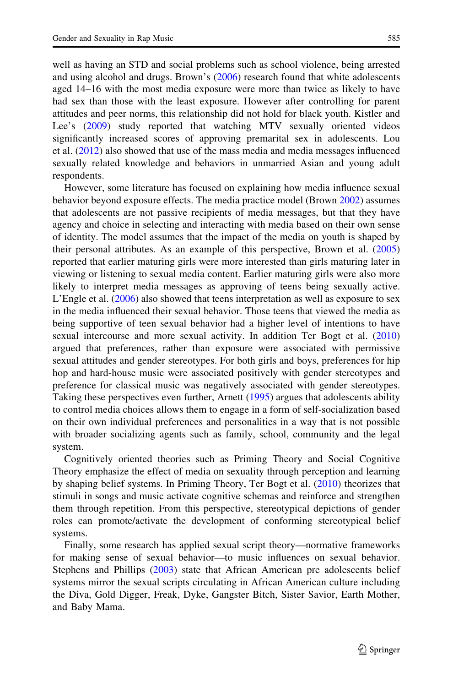well as having an STD and social problems such as school violence, being arrested and using alcohol and drugs. Brown's ([2006\)](#page-11-0) research found that white adolescents aged 14–16 with the most media exposure were more than twice as likely to have had sex than those with the least exposure. However after controlling for parent attitudes and peer norms, this relationship did not hold for black youth. Kistler and Lee's [\(2009](#page-11-0)) study reported that watching MTV sexually oriented videos significantly increased scores of approving premarital sex in adolescents. Lou et al. [\(2012](#page-11-0)) also showed that use of the mass media and media messages influenced sexually related knowledge and behaviors in unmarried Asian and young adult respondents.

However, some literature has focused on explaining how media influence sexual behavior beyond exposure effects. The media practice model (Brown [2002](#page-10-0)) assumes that adolescents are not passive recipients of media messages, but that they have agency and choice in selecting and interacting with media based on their own sense of identity. The model assumes that the impact of the media on youth is shaped by their personal attributes. As an example of this perspective, Brown et al. [\(2005](#page-11-0)) reported that earlier maturing girls were more interested than girls maturing later in viewing or listening to sexual media content. Earlier maturing girls were also more likely to interpret media messages as approving of teens being sexually active. L'Engle et al. [\(2006](#page-11-0)) also showed that teens interpretation as well as exposure to sex in the media influenced their sexual behavior. Those teens that viewed the media as being supportive of teen sexual behavior had a higher level of intentions to have sexual intercourse and more sexual activity. In addition Ter Bogt et al. [\(2010](#page-12-0)) argued that preferences, rather than exposure were associated with permissive sexual attitudes and gender stereotypes. For both girls and boys, preferences for hip hop and hard-house music were associated positively with gender stereotypes and preference for classical music was negatively associated with gender stereotypes. Taking these perspectives even further, Arnett [\(1995](#page-10-0)) argues that adolescents ability to control media choices allows them to engage in a form of self-socialization based on their own individual preferences and personalities in a way that is not possible with broader socializing agents such as family, school, community and the legal system.

Cognitively oriented theories such as Priming Theory and Social Cognitive Theory emphasize the effect of media on sexuality through perception and learning by shaping belief systems. In Priming Theory, Ter Bogt et al. ([2010\)](#page-12-0) theorizes that stimuli in songs and music activate cognitive schemas and reinforce and strengthen them through repetition. From this perspective, stereotypical depictions of gender roles can promote/activate the development of conforming stereotypical belief systems.

Finally, some research has applied sexual script theory—normative frameworks for making sense of sexual behavior—to music influences on sexual behavior. Stephens and Phillips ([2003\)](#page-12-0) state that African American pre adolescents belief systems mirror the sexual scripts circulating in African American culture including the Diva, Gold Digger, Freak, Dyke, Gangster Bitch, Sister Savior, Earth Mother, and Baby Mama.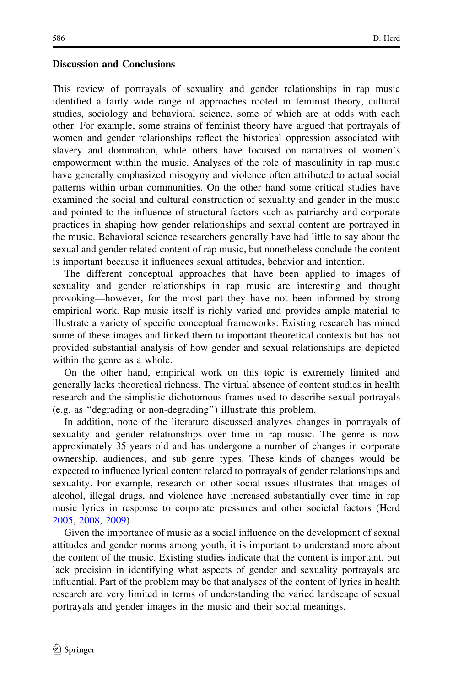#### Discussion and Conclusions

This review of portrayals of sexuality and gender relationships in rap music identified a fairly wide range of approaches rooted in feminist theory, cultural studies, sociology and behavioral science, some of which are at odds with each other. For example, some strains of feminist theory have argued that portrayals of women and gender relationships reflect the historical oppression associated with slavery and domination, while others have focused on narratives of women's empowerment within the music. Analyses of the role of masculinity in rap music have generally emphasized misogyny and violence often attributed to actual social patterns within urban communities. On the other hand some critical studies have examined the social and cultural construction of sexuality and gender in the music and pointed to the influence of structural factors such as patriarchy and corporate practices in shaping how gender relationships and sexual content are portrayed in the music. Behavioral science researchers generally have had little to say about the sexual and gender related content of rap music, but nonetheless conclude the content is important because it influences sexual attitudes, behavior and intention.

The different conceptual approaches that have been applied to images of sexuality and gender relationships in rap music are interesting and thought provoking—however, for the most part they have not been informed by strong empirical work. Rap music itself is richly varied and provides ample material to illustrate a variety of specific conceptual frameworks. Existing research has mined some of these images and linked them to important theoretical contexts but has not provided substantial analysis of how gender and sexual relationships are depicted within the genre as a whole.

On the other hand, empirical work on this topic is extremely limited and generally lacks theoretical richness. The virtual absence of content studies in health research and the simplistic dichotomous frames used to describe sexual portrayals (e.g. as ''degrading or non-degrading'') illustrate this problem.

In addition, none of the literature discussed analyzes changes in portrayals of sexuality and gender relationships over time in rap music. The genre is now approximately 35 years old and has undergone a number of changes in corporate ownership, audiences, and sub genre types. These kinds of changes would be expected to influence lyrical content related to portrayals of gender relationships and sexuality. For example, research on other social issues illustrates that images of alcohol, illegal drugs, and violence have increased substantially over time in rap music lyrics in response to corporate pressures and other societal factors (Herd [2005,](#page-11-0) [2008,](#page-11-0) [2009\)](#page-11-0).

Given the importance of music as a social influence on the development of sexual attitudes and gender norms among youth, it is important to understand more about the content of the music. Existing studies indicate that the content is important, but lack precision in identifying what aspects of gender and sexuality portrayals are influential. Part of the problem may be that analyses of the content of lyrics in health research are very limited in terms of understanding the varied landscape of sexual portrayals and gender images in the music and their social meanings.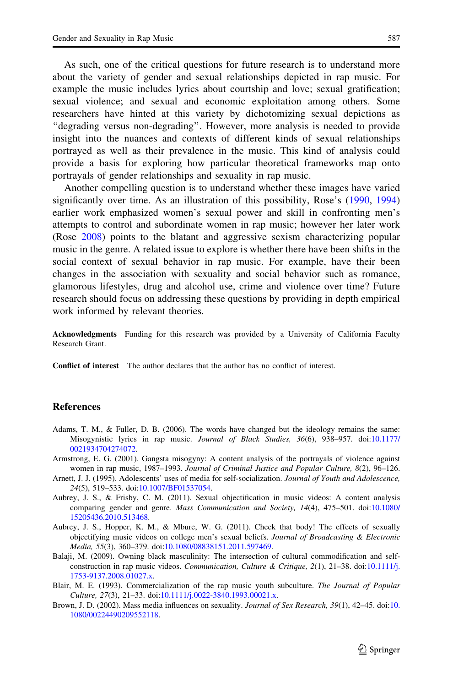<span id="page-10-0"></span>As such, one of the critical questions for future research is to understand more about the variety of gender and sexual relationships depicted in rap music. For example the music includes lyrics about courtship and love; sexual gratification; sexual violence; and sexual and economic exploitation among others. Some researchers have hinted at this variety by dichotomizing sexual depictions as ''degrading versus non-degrading''. However, more analysis is needed to provide insight into the nuances and contexts of different kinds of sexual relationships portrayed as well as their prevalence in the music. This kind of analysis could provide a basis for exploring how particular theoretical frameworks map onto portrayals of gender relationships and sexuality in rap music.

Another compelling question is to understand whether these images have varied significantly over time. As an illustration of this possibility, Rose's ([1990,](#page-12-0) [1994](#page-12-0)) earlier work emphasized women's sexual power and skill in confronting men's attempts to control and subordinate women in rap music; however her later work (Rose [2008\)](#page-12-0) points to the blatant and aggressive sexism characterizing popular music in the genre. A related issue to explore is whether there have been shifts in the social context of sexual behavior in rap music. For example, have their been changes in the association with sexuality and social behavior such as romance, glamorous lifestyles, drug and alcohol use, crime and violence over time? Future research should focus on addressing these questions by providing in depth empirical work informed by relevant theories.

Acknowledgments Funding for this research was provided by a University of California Faculty Research Grant.

Conflict of interest The author declares that the author has no conflict of interest.

#### References

- Adams, T. M., & Fuller, D. B. (2006). The words have changed but the ideology remains the same: Misogynistic lyrics in rap music. *Journal of Black Studies, 36*(6), 938–957. doi[:10.1177/](http://dx.doi.org/10.1177/0021934704274072) [0021934704274072.](http://dx.doi.org/10.1177/0021934704274072)
- Armstrong, E. G. (2001). Gangsta misogyny: A content analysis of the portrayals of violence against women in rap music, 1987–1993. *Journal of Criminal Justice and Popular Culture, 8*(2), 96–126.
- Arnett, J. J. (1995). Adolescents' uses of media for self-socialization. *Journal of Youth and Adolescence, 24*(5), 519–533. doi:[10.1007/BF01537054](http://dx.doi.org/10.1007/BF01537054).
- Aubrey, J. S., & Frisby, C. M. (2011). Sexual objectification in music videos: A content analysis comparing gender and genre. *Mass Communication and Society, 14*(4), 475–501. doi[:10.1080/](http://dx.doi.org/10.1080/15205436.2010.513468) [15205436.2010.513468.](http://dx.doi.org/10.1080/15205436.2010.513468)
- Aubrey, J. S., Hopper, K. M., & Mbure, W. G. (2011). Check that body! The effects of sexually objectifying music videos on college men's sexual beliefs. *Journal of Broadcasting & Electronic Media, 55*(3), 360–379. doi:[10.1080/08838151.2011.597469](http://dx.doi.org/10.1080/08838151.2011.597469).
- Balaji, M. (2009). Owning black masculinity: The intersection of cultural commodification and selfconstruction in rap music videos. *Communication, Culture & Critique, 2*(1), 21–38. doi[:10.1111/j.](http://dx.doi.org/10.1111/j.1753-9137.2008.01027.x) [1753-9137.2008.01027.x](http://dx.doi.org/10.1111/j.1753-9137.2008.01027.x).
- Blair, M. E. (1993). Commercialization of the rap music youth subculture. *The Journal of Popular Culture, 27*(3), 21–33. doi:[10.1111/j.0022-3840.1993.00021.x](http://dx.doi.org/10.1111/j.0022-3840.1993.00021.x).
- Brown, J. D. (2002). Mass media influences on sexuality. *Journal of Sex Research, 39*(1), 42–45. doi[:10.](http://dx.doi.org/10.1080/00224490209552118) [1080/00224490209552118.](http://dx.doi.org/10.1080/00224490209552118)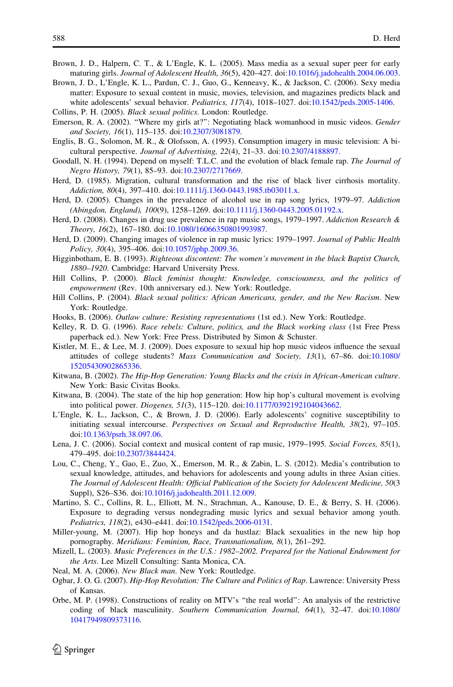- <span id="page-11-0"></span>Brown, J. D., Halpern, C. T., & L'Engle, K. L. (2005). Mass media as a sexual super peer for early maturing girls. *Journal of Adolescent Health, 36*(5), 420–427. doi[:10.1016/j.jadohealth.2004.06.003](http://dx.doi.org/10.1016/j.jadohealth.2004.06.003).
- Brown, J. D., L'Engle, K. L., Pardun, C. J., Guo, G., Kenneavy, K., & Jackson, C. (2006). Sexy media matter: Exposure to sexual content in music, movies, television, and magazines predicts black and white adolescents' sexual behavior. *Pediatrics, 117*(4), 1018–1027. doi[:10.1542/peds.2005-1406](http://dx.doi.org/10.1542/peds.2005-1406).
- Collins, P. H. (2005). *Black sexual politics*. London: Routledge.
- Emerson, R. A. (2002). ''Where my girls at?'': Negotiating black womanhood in music videos. *Gender and Society, 16*(1), 115–135. doi[:10.2307/3081879.](http://dx.doi.org/10.2307/3081879)
- Englis, B. G., Solomon, M. R., & Olofsson, A. (1993). Consumption imagery in music television: A bicultural perspective. *Journal of Advertising, 22*(4), 21–33. doi:[10.2307/4188897](http://dx.doi.org/10.2307/4188897).
- Goodall, N. H. (1994). Depend on myself: T.L.C. and the evolution of black female rap. *The Journal of Negro History, 79*(1), 85–93. doi:[10.2307/2717669.](http://dx.doi.org/10.2307/2717669)
- Herd, D. (1985). Migration, cultural transformation and the rise of black liver cirrhosis mortality. *Addiction, 80*(4), 397–410. doi[:10.1111/j.1360-0443.1985.tb03011.x](http://dx.doi.org/10.1111/j.1360-0443.1985.tb03011.x).
- Herd, D. (2005). Changes in the prevalence of alcohol use in rap song lyrics, 1979–97. *Addiction (Abingdon, England), 100*(9), 1258–1269. doi[:10.1111/j.1360-0443.2005.01192.x.](http://dx.doi.org/10.1111/j.1360-0443.2005.01192.x)
- Herd, D. (2008). Changes in drug use prevalence in rap music songs, 1979–1997. *Addiction Research & Theory, 16*(2), 167–180. doi:[10.1080/16066350801993987.](http://dx.doi.org/10.1080/16066350801993987)
- Herd, D. (2009). Changing images of violence in rap music lyrics: 1979–1997. *Journal of Public Health Policy, 30*(4), 395–406. doi:[10.1057/jphp.2009.36.](http://dx.doi.org/10.1057/jphp.2009.36)
- Higginbotham, E. B. (1993). *Righteous discontent: The women's movement in the black Baptist Church, 1880–1920*. Cambridge: Harvard University Press.
- Hill Collins, P. (2000). *Black feminist thought: Knowledge, consciousness, and the politics of empowerment* (Rev. 10th anniversary ed.). New York: Routledge.
- Hill Collins, P. (2004). *Black sexual politics: African Americans, gender, and the New Racism*. New York: Routledge.
- Hooks, B. (2006). *Outlaw culture: Resisting representations* (1st ed.). New York: Routledge.
- Kelley, R. D. G. (1996). *Race rebels: Culture, politics, and the Black working class* (1st Free Press paperback ed.). New York: Free Press. Distributed by Simon & Schuster.
- Kistler, M. E., & Lee, M. J. (2009). Does exposure to sexual hip hop music videos influence the sexual attitudes of college students? *Mass Communication and Society, 13*(1), 67–86. doi[:10.1080/](http://dx.doi.org/10.1080/15205430902865336) [15205430902865336.](http://dx.doi.org/10.1080/15205430902865336)
- Kitwana, B. (2002). *The Hip-Hop Generation: Young Blacks and the crisis in African-American culture*. New York: Basic Civitas Books.
- Kitwana, B. (2004). The state of the hip hop generation: How hip hop's cultural movement is evolving into political power. *Diogenes, 51*(3), 115–120. doi:[10.1177/0392192104043662.](http://dx.doi.org/10.1177/0392192104043662)
- L'Engle, K. L., Jackson, C., & Brown, J. D. (2006). Early adolescents' cognitive susceptibility to initiating sexual intercourse. *Perspectives on Sexual and Reproductive Health, 38*(2), 97–105. doi[:10.1363/psrh.38.097.06.](http://dx.doi.org/10.1363/psrh.38.097.06)
- Lena, J. C. (2006). Social context and musical content of rap music, 1979–1995. *Social Forces, 85*(1), 479–495. doi:[10.2307/3844424.](http://dx.doi.org/10.2307/3844424)
- Lou, C., Cheng, Y., Gao, E., Zuo, X., Emerson, M. R., & Zabin, L. S. (2012). Media's contribution to sexual knowledge, attitudes, and behaviors for adolescents and young adults in three Asian cities. *The Journal of Adolescent Health: Official Publication of the Society for Adolescent Medicine, 50*(3 Suppl), S26–S36. doi:[10.1016/j.jadohealth.2011.12.009.](http://dx.doi.org/10.1016/j.jadohealth.2011.12.009)
- Martino, S. C., Collins, R. L., Elliott, M. N., Strachman, A., Kanouse, D. E., & Berry, S. H. (2006). Exposure to degrading versus nondegrading music lyrics and sexual behavior among youth. *Pediatrics, 118*(2), e430–e441. doi[:10.1542/peds.2006-0131](http://dx.doi.org/10.1542/peds.2006-0131).
- Miller-young, M. (2007). Hip hop honeys and da hustlaz: Black sexualities in the new hip hop pornography. *Meridians: Feminism, Race, Transnationalism, 8*(1), 261–292.
- Mizell, L. (2003). *Music Preferences in the U.S.: 1982–2002. Prepared for the National Endowment for the Arts*. Lee Mizell Consulting: Santa Monica, CA.
- Neal, M. A. (2006). *New Black man*. New York: Routledge.
- Ogbar, J. O. G. (2007). *Hip-Hop Revolution: The Culture and Politics of Rap*. Lawrence: University Press of Kansas.
- Orbe, M. P. (1998). Constructions of reality on MTV's ''the real world'': An analysis of the restrictive coding of black masculinity. *Southern Communication Journal, 64*(1), 32–47. doi[:10.1080/](http://dx.doi.org/10.1080/10417949809373116) [10417949809373116.](http://dx.doi.org/10.1080/10417949809373116)